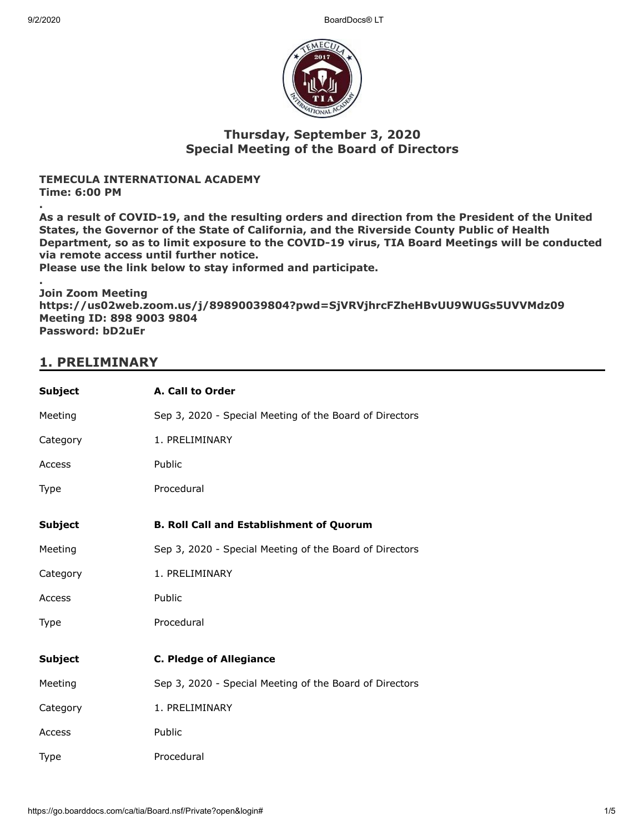9/2/2020 BoardDocs® LT



## **Thursday, September 3, 2020 Special Meeting of the Board of Directors**

#### **TEMECULA INTERNATIONAL ACADEMY Time: 6:00 PM**

**. As a result of COVID-19, and the resulting orders and direction from the President of the United States, the Governor of the State of California, and the Riverside County Public of Health Department, so as to limit exposure to the COVID-19 virus, TIA Board Meetings will be conducted via remote access until further notice.**

**Please use the link below to stay informed and participate.**

**. Join Zoom Meeting https://us02web.zoom.us/j/89890039804?pwd=SjVRVjhrcFZheHBvUU9WUGs5UVVMdz09 Meeting ID: 898 9003 9804 Password: bD2uEr**

# **1. PRELIMINARY**

| <b>Subject</b> | A. Call to Order                                        |
|----------------|---------------------------------------------------------|
| Meeting        | Sep 3, 2020 - Special Meeting of the Board of Directors |
| Category       | 1. PRELIMINARY                                          |
| Access         | Public                                                  |
| Type           | Procedural                                              |
| <b>Subject</b> | <b>B. Roll Call and Establishment of Quorum</b>         |
| Meeting        | Sep 3, 2020 - Special Meeting of the Board of Directors |
| Category       | 1. PRELIMINARY                                          |
| Access         | Public                                                  |
| <b>Type</b>    | Procedural                                              |
|                |                                                         |
| <b>Subject</b> | <b>C. Pledge of Allegiance</b>                          |
| Meeting        | Sep 3, 2020 - Special Meeting of the Board of Directors |
| Category       | 1. PRELIMINARY                                          |
| Access         | Public                                                  |
| Type           | Procedural                                              |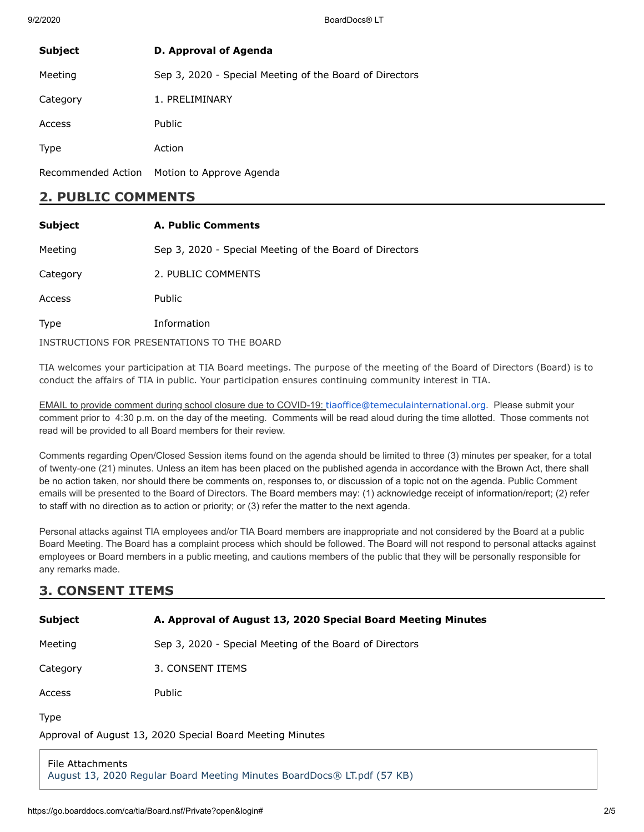9/2/2020 BoardDocs® LT

| <b>Subject</b>     | D. Approval of Agenda                                   |
|--------------------|---------------------------------------------------------|
| Meeting            | Sep 3, 2020 - Special Meeting of the Board of Directors |
| Category           | 1. PRELIMINARY                                          |
| Access             | <b>Public</b>                                           |
| <b>Type</b>        | Action                                                  |
| Recommended Action | Motion to Approve Agenda                                |

### **2. PUBLIC COMMENTS**

| <b>Subject</b>                              | <b>A. Public Comments</b>                               |
|---------------------------------------------|---------------------------------------------------------|
| Meeting                                     | Sep 3, 2020 - Special Meeting of the Board of Directors |
| Category                                    | 2. PUBLIC COMMENTS                                      |
| Access                                      | <b>Public</b>                                           |
| <b>Type</b>                                 | Information                                             |
| INSTRUCTIONS FOR PRESENTATIONS TO THE BOARD |                                                         |

TIA welcomes your participation at TIA Board meetings. The purpose of the meeting of the Board of Directors (Board) is to conduct the affairs of TIA in public. Your participation ensures continuing community interest in TIA.

EMAIL to provide comment during school closure due to COVID-19: [tiaoffice@temeculainternational.org](mailto:tiaoffice@temeculainternational.org). Please submit your comment prior to 4:30 p.m. on the day of the meeting. Comments will be read aloud during the time allotted. Those comments not read will be provided to all Board members for their review.

Comments regarding Open/Closed Session items found on the agenda should be limited to three (3) minutes per speaker, for a total of twenty-one (21) minutes. Unless an item has been placed on the published agenda in accordance with the Brown Act, there shall be no action taken, nor should there be comments on, responses to, or discussion of a topic not on the agenda. Public Comment emails will be presented to the Board of Directors. The Board members may: (1) acknowledge receipt of information/report; (2) refer to staff with no direction as to action or priority; or (3) refer the matter to the next agenda.

Personal attacks against TIA employees and/or TIA Board members are inappropriate and not considered by the Board at a public Board Meeting. The Board has a complaint process which should be followed. The Board will not respond to personal attacks against employees or Board members in a public meeting, and cautions members of the public that they will be personally responsible for any remarks made.

# **3. CONSENT ITEMS**

| <b>Subject</b>                                                           | A. Approval of August 13, 2020 Special Board Meeting Minutes |
|--------------------------------------------------------------------------|--------------------------------------------------------------|
| Meeting                                                                  | Sep 3, 2020 - Special Meeting of the Board of Directors      |
| Category                                                                 | 3. CONSENT ITEMS                                             |
| Access                                                                   | Public                                                       |
| <b>Type</b><br>Approval of August 13, 2020 Special Board Meeting Minutes |                                                              |
| File Attachments                                                         |                                                              |

[August 13, 2020 Regular Board Meeting Minutes BoardDocs® LT.pdf \(57 KB\)](https://go.boarddocs.com/ca/tia/Board.nsf/files/BT2UMB7CB23A/$file/August%2013%2C%202020%20Regular%20Board%20Meeting%20Minutes%20BoardDocs%C2%AE%20LT.pdf)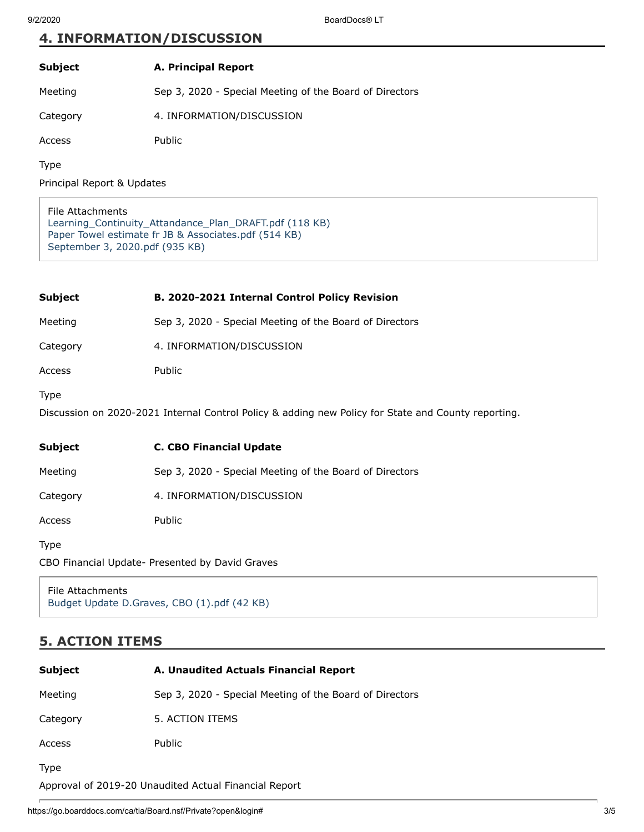## **4. INFORMATION/DISCUSSION**

### **Subject A. Principal Report**

Meeting Sep 3, 2020 - Special Meeting of the Board of Directors

Category 4. INFORMATION/DISCUSSION

Access Public

Type

Principal Report & Updates

File Attachments [Learning\\_Continuity\\_Attandance\\_Plan\\_DRAFT.pdf \(118 KB\)](https://go.boarddocs.com/ca/tia/Board.nsf/files/BT2URG7D4E38/$file/Learning_Continuity_Attandance_Plan_DRAFT.pdf) [Paper Towel estimate fr JB & Associates.pdf \(514 KB\)](https://go.boarddocs.com/ca/tia/Board.nsf/files/BT3U6M7A8B5B/$file/Paper%20Towel%20estimate%20fr%20JB%20%26%20Associates.pdf) [September 3, 2020.pdf \(935 KB\)](https://go.boarddocs.com/ca/tia/Board.nsf/files/BT3UDU7B9AF0/$file/September%203%2C%202020.pdf)

| Subject                                                                                                     | B. 2020-2021 Internal Control Policy Revision           |
|-------------------------------------------------------------------------------------------------------------|---------------------------------------------------------|
| Meeting                                                                                                     | Sep 3, 2020 - Special Meeting of the Board of Directors |
| Category                                                                                                    | 4. INFORMATION/DISCUSSION                               |
| Access                                                                                                      | Public                                                  |
| Type<br>Discussion on 2020-2021 Internal Control Policy & adding new Policy for State and County reporting. |                                                         |
|                                                                                                             |                                                         |
| Subject                                                                                                     | <b>C. CBO Financial Update</b>                          |
| Meeting                                                                                                     | Sep 3, 2020 - Special Meeting of the Board of Directors |
| Category                                                                                                    | 4. INFORMATION/DISCUSSION                               |
| Access                                                                                                      | Public                                                  |
| Type                                                                                                        |                                                         |

File Attachments [Budget Update D.Graves, CBO \(1\).pdf \(42 KB\)](https://go.boarddocs.com/ca/tia/Board.nsf/files/BT2US37D6484/$file/Budget%20Update%20D.Graves%2C%20CBO%20(1).pdf)

## **5. ACTION ITEMS**

| <b>Subject</b>                                        | A. Unaudited Actuals Financial Report                   |  |
|-------------------------------------------------------|---------------------------------------------------------|--|
| Meeting                                               | Sep 3, 2020 - Special Meeting of the Board of Directors |  |
| Category                                              | 5. ACTION ITEMS                                         |  |
| Access                                                | <b>Public</b>                                           |  |
| <b>Type</b>                                           |                                                         |  |
| Approval of 2019-20 Unaudited Actual Financial Report |                                                         |  |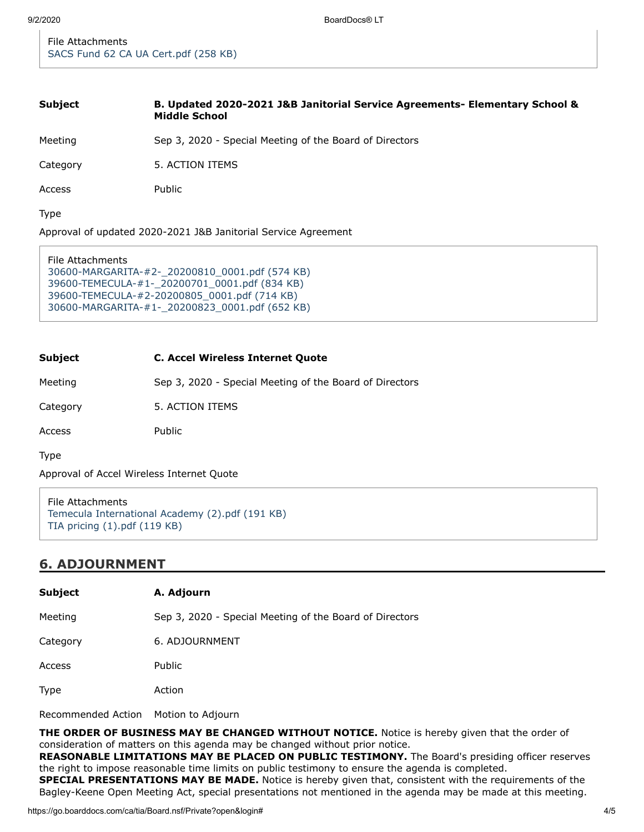File Attachments [SACS Fund 62 CA UA Cert.pdf \(258 KB\)](https://go.boarddocs.com/ca/tia/Board.nsf/files/BT3UGG7BFCFE/$file/SACS%20Fund%2062%20CA%20UA%20Cert.pdf)

#### **Subject B. Updated 2020-2021 J&B Janitorial Service Agreements- Elementary School & Middle School**

Meeting Sep 3, 2020 - Special Meeting of the Board of Directors

Category 5. ACTION ITEMS

Access Public

Type

Approval of updated 2020-2021 J&B Janitorial Service Agreement

```
File Attachments
30600-MARGARITA-#2-_20200810_0001.pdf (574 KB)
39600-TEMECULA-#1-_20200701_0001.pdf (834 KB)
39600-TEMECULA-#2-20200805_0001.pdf (714 KB)
30600-MARGARITA-#1-_20200823_0001.pdf (652 KB)
```
#### **Subject C. Accel Wireless Internet Quote**

Meeting Sep 3, 2020 - Special Meeting of the Board of Directors

Category 5. ACTION ITEMS

Access Public

Type

Approval of Accel Wireless Internet Quote

```
File Attachments
Temecula International Academy (2).pdf (191 KB)
TIA pricing (1).pdf (119 KB)
```
### **6. ADJOURNMENT**

| <b>Subject</b> | A. Adjourn                                              |
|----------------|---------------------------------------------------------|
| Meeting        | Sep 3, 2020 - Special Meeting of the Board of Directors |
| Category       | 6. ADJOURNMENT                                          |
| Access         | Public                                                  |
| <b>Type</b>    | Action                                                  |
|                |                                                         |

Recommended Action Motion to Adjourn

**THE ORDER OF BUSINESS MAY BE CHANGED WITHOUT NOTICE.** Notice is hereby given that the order of consideration of matters on this agenda may be changed without prior notice.

**REASONABLE LIMITATIONS MAY BE PLACED ON PUBLIC TESTIMONY.** The Board's presiding officer reserves the right to impose reasonable time limits on public testimony to ensure the agenda is completed.

**SPECIAL PRESENTATIONS MAY BE MADE.** Notice is hereby given that, consistent with the requirements of the Bagley-Keene Open Meeting Act, special presentations not mentioned in the agenda may be made at this meeting.